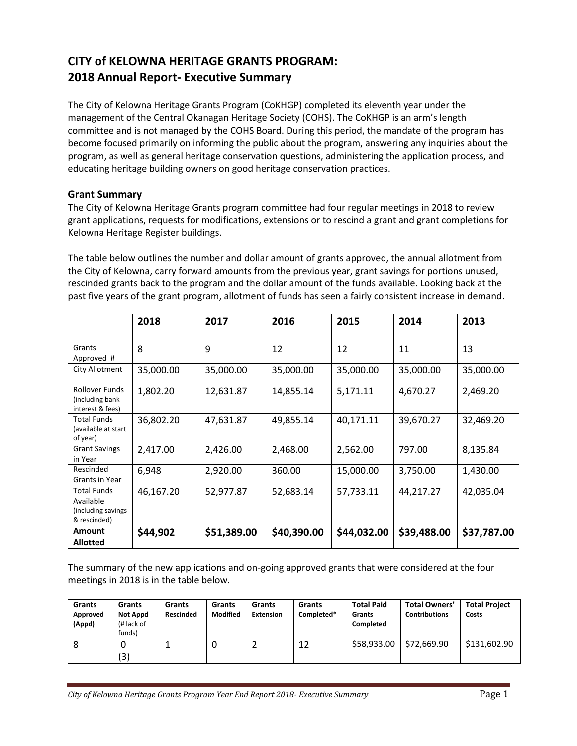# **CITY of KELOWNA HERITAGE GRANTS PROGRAM: 2018 Annual Report- Executive Summary**

The City of Kelowna Heritage Grants Program (CoKHGP) completed its eleventh year under the management of the Central Okanagan Heritage Society (COHS). The CoKHGP is an arm's length committee and is not managed by the COHS Board. During this period, the mandate of the program has become focused primarily on informing the public about the program, answering any inquiries about the program, as well as general heritage conservation questions, administering the application process, and educating heritage building owners on good heritage conservation practices.

# **Grant Summary**

The City of Kelowna Heritage Grants program committee had four regular meetings in 2018 to review grant applications, requests for modifications, extensions or to rescind a grant and grant completions for Kelowna Heritage Register buildings.

The table below outlines the number and dollar amount of grants approved, the annual allotment from the City of Kelowna, carry forward amounts from the previous year, grant savings for portions unused, rescinded grants back to the program and the dollar amount of the funds available. Looking back at the past five years of the grant program, allotment of funds has seen a fairly consistent increase in demand.

|                                                                        | 2018      | 2017        | 2016        | 2015        | 2014        | 2013        |
|------------------------------------------------------------------------|-----------|-------------|-------------|-------------|-------------|-------------|
| Grants<br>Approved #                                                   | 8         | 9           | 12          | 12          | 11          | 13          |
| City Allotment                                                         | 35,000.00 | 35,000.00   | 35,000.00   | 35,000.00   | 35,000.00   | 35,000.00   |
| <b>Rollover Funds</b><br>(including bank)<br>interest & fees)          | 1,802.20  | 12,631.87   | 14,855.14   | 5,171.11    | 4,670.27    | 2,469.20    |
| <b>Total Funds</b><br>(available at start<br>of year)                  | 36,802.20 | 47,631.87   | 49,855.14   | 40,171.11   | 39,670.27   | 32,469.20   |
| <b>Grant Savings</b><br>in Year                                        | 2,417.00  | 2,426.00    | 2,468.00    | 2,562.00    | 797.00      | 8,135.84    |
| Rescinded<br>Grants in Year                                            | 6,948     | 2,920.00    | 360.00      | 15,000.00   | 3,750.00    | 1,430.00    |
| <b>Total Funds</b><br>Available<br>(including savings)<br>& rescinded) | 46,167.20 | 52,977.87   | 52,683.14   | 57,733.11   | 44,217.27   | 42,035.04   |
| Amount<br><b>Allotted</b>                                              | \$44,902  | \$51,389.00 | \$40,390.00 | \$44,032.00 | \$39,488.00 | \$37,787.00 |

The summary of the new applications and on-going approved grants that were considered at the four meetings in 2018 is in the table below.

| Grants<br>Approved<br>(Appd) | Grants<br>Not Appd<br>(# lack of<br>funds) | Grants<br><b>Rescinded</b> | Grants<br>Modified | Grants<br><b>Extension</b> | Grants<br>Completed* | <b>Total Paid</b><br>Grants<br>Completed | <b>Total Owners'</b><br><b>Contributions</b> | <b>Total Project</b><br>Costs |
|------------------------------|--------------------------------------------|----------------------------|--------------------|----------------------------|----------------------|------------------------------------------|----------------------------------------------|-------------------------------|
|                              | (3)                                        |                            | υ                  |                            | 12                   | \$58,933,00                              | \$72,669.90                                  | \$131,602.90                  |